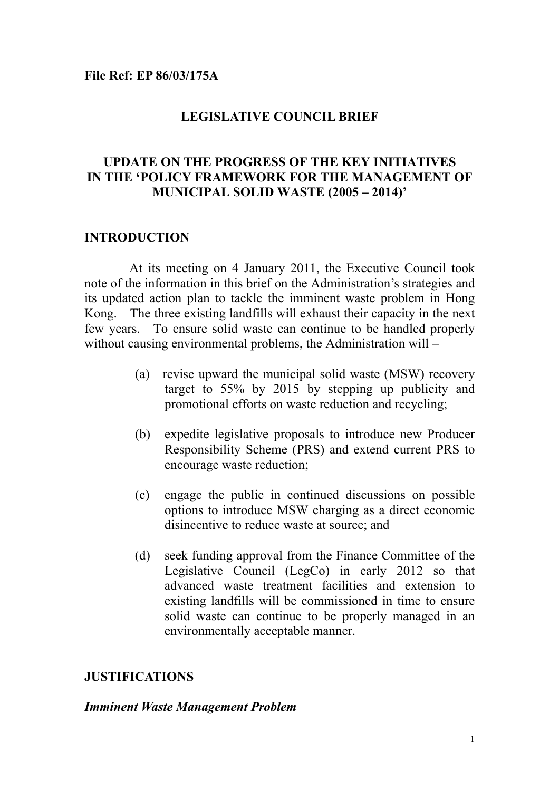#### **LEGISLATIVE COUNCIL BRIEF**

### **UPDATE ON THE PROGRESS OF THE KEY INITIATIVES IN THE 'POLICY FRAMEWORK FOR THE MANAGEMENT OF MUNICIPAL SOLID WASTE (2005 – 2014)'**

#### **INTRODUCTION**

 At its meeting on 4 January 2011, the Executive Council took note of the information in this brief on the Administration's strategies and its updated action plan to tackle the imminent waste problem in Hong Kong. The three existing landfills will exhaust their capacity in the next few years. To ensure solid waste can continue to be handled properly without causing environmental problems, the Administration will –

- (a) revise upward the municipal solid waste (MSW) recovery target to 55% by 2015 by stepping up publicity and promotional efforts on waste reduction and recycling;
- (b) expedite legislative proposals to introduce new Producer Responsibility Scheme (PRS) and extend current PRS to encourage waste reduction;
- (c) engage the public in continued discussions on possible options to introduce MSW charging as a direct economic disincentive to reduce waste at source; and
- (d) seek funding approval from the Finance Committee of the Legislative Council (LegCo) in early 2012 so that advanced waste treatment facilities and extension to existing landfills will be commissioned in time to ensure solid waste can continue to be properly managed in an environmentally acceptable manner.

#### **JUSTIFICATIONS**

#### *Imminent Waste Management Problem*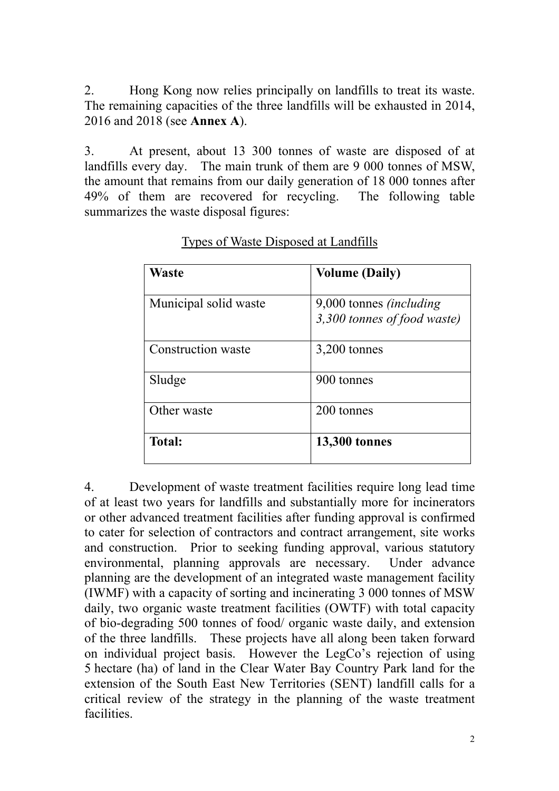2. Hong Kong now relies principally on landfills to treat its waste. The remaining capacities of the three landfills will be exhausted in 2014, 2016 and 2018 (see **Annex A**).

3. At present, about 13 300 tonnes of waste are disposed of at landfills every day. The main trunk of them are 9 000 tonnes of MSW, the amount that remains from our daily generation of 18 000 tonnes after 49% of them are recovered for recycling. The following table summarizes the waste disposal figures:

| <b>Waste</b>          | <b>Volume (Daily)</b>                                           |
|-----------------------|-----------------------------------------------------------------|
| Municipal solid waste | 9,000 tonnes <i>(including</i> )<br>3,300 tonnes of food waste) |
| Construction waste    | 3,200 tonnes                                                    |
| Sludge                | 900 tonnes                                                      |
| Other waste           | 200 tonnes                                                      |
| <b>Total:</b>         | <b>13,300 tonnes</b>                                            |

Types of Waste Disposed at Landfills

4. Development of waste treatment facilities require long lead time of at least two years for landfills and substantially more for incinerators or other advanced treatment facilities after funding approval is confirmed to cater for selection of contractors and contract arrangement, site works and construction. Prior to seeking funding approval, various statutory environmental, planning approvals are necessary. Under advance planning are the development of an integrated waste management facility (IWMF) with a capacity of sorting and incinerating 3 000 tonnes of MSW daily, two organic waste treatment facilities (OWTF) with total capacity of bio-degrading 500 tonnes of food/ organic waste daily, and extension of the three landfills. These projects have all along been taken forward on individual project basis. However the LegCo's rejection of using 5 hectare (ha) of land in the Clear Water Bay Country Park land for the extension of the South East New Territories (SENT) landfill calls for a critical review of the strategy in the planning of the waste treatment facilities.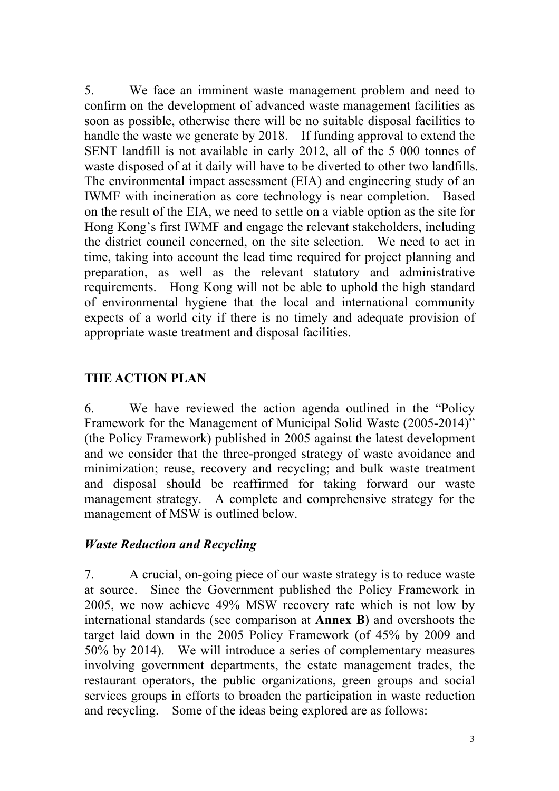5. We face an imminent waste management problem and need to confirm on the development of advanced waste management facilities as soon as possible, otherwise there will be no suitable disposal facilities to handle the waste we generate by 2018. If funding approval to extend the SENT landfill is not available in early 2012, all of the 5 000 tonnes of waste disposed of at it daily will have to be diverted to other two landfills. The environmental impact assessment (EIA) and engineering study of an IWMF with incineration as core technology is near completion. Based on the result of the EIA, we need to settle on a viable option as the site for Hong Kong's first IWMF and engage the relevant stakeholders, including the district council concerned, on the site selection. We need to act in time, taking into account the lead time required for project planning and preparation, as well as the relevant statutory and administrative requirements. Hong Kong will not be able to uphold the high standard of environmental hygiene that the local and international community expects of a world city if there is no timely and adequate provision of appropriate waste treatment and disposal facilities.

# **THE ACTION PLAN**

6. We have reviewed the action agenda outlined in the "Policy Framework for the Management of Municipal Solid Waste (2005-2014)" (the Policy Framework) published in 2005 against the latest development and we consider that the three-pronged strategy of waste avoidance and minimization; reuse, recovery and recycling; and bulk waste treatment and disposal should be reaffirmed for taking forward our waste management strategy. A complete and comprehensive strategy for the management of MSW is outlined below.

# *Waste Reduction and Recycling*

7. A crucial, on-going piece of our waste strategy is to reduce waste at source. Since the Government published the Policy Framework in 2005, we now achieve 49% MSW recovery rate which is not low by international standards (see comparison at **Annex B**) and overshoots the target laid down in the 2005 Policy Framework (of 45% by 2009 and 50% by 2014). We will introduce a series of complementary measures involving government departments, the estate management trades, the restaurant operators, the public organizations, green groups and social services groups in efforts to broaden the participation in waste reduction and recycling. Some of the ideas being explored are as follows: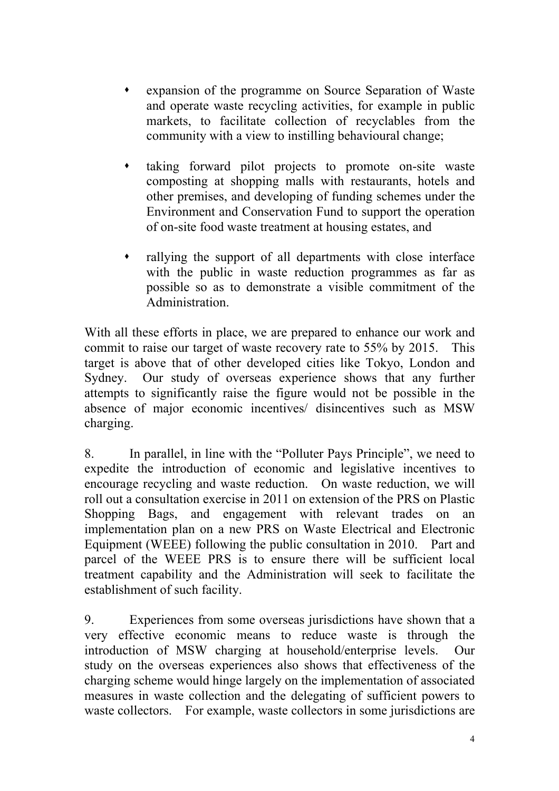- expansion of the programme on Source Separation of Waste and operate waste recycling activities, for example in public markets, to facilitate collection of recyclables from the community with a view to instilling behavioural change;
- taking forward pilot projects to promote on-site waste composting at shopping malls with restaurants, hotels and other premises, and developing of funding schemes under the Environment and Conservation Fund to support the operation of on-site food waste treatment at housing estates, and
- rallying the support of all departments with close interface with the public in waste reduction programmes as far as possible so as to demonstrate a visible commitment of the Administration.

With all these efforts in place, we are prepared to enhance our work and commit to raise our target of waste recovery rate to 55% by 2015. This target is above that of other developed cities like Tokyo, London and Sydney. Our study of overseas experience shows that any further attempts to significantly raise the figure would not be possible in the absence of major economic incentives/ disincentives such as MSW charging.

8. In parallel, in line with the "Polluter Pays Principle", we need to expedite the introduction of economic and legislative incentives to encourage recycling and waste reduction. On waste reduction, we will roll out a consultation exercise in 2011 on extension of the PRS on Plastic Shopping Bags, and engagement with relevant trades on an implementation plan on a new PRS on Waste Electrical and Electronic Equipment (WEEE) following the public consultation in 2010. Part and parcel of the WEEE PRS is to ensure there will be sufficient local treatment capability and the Administration will seek to facilitate the establishment of such facility.

9. Experiences from some overseas jurisdictions have shown that a very effective economic means to reduce waste is through the introduction of MSW charging at household/enterprise levels. Our study on the overseas experiences also shows that effectiveness of the charging scheme would hinge largely on the implementation of associated measures in waste collection and the delegating of sufficient powers to waste collectors. For example, waste collectors in some jurisdictions are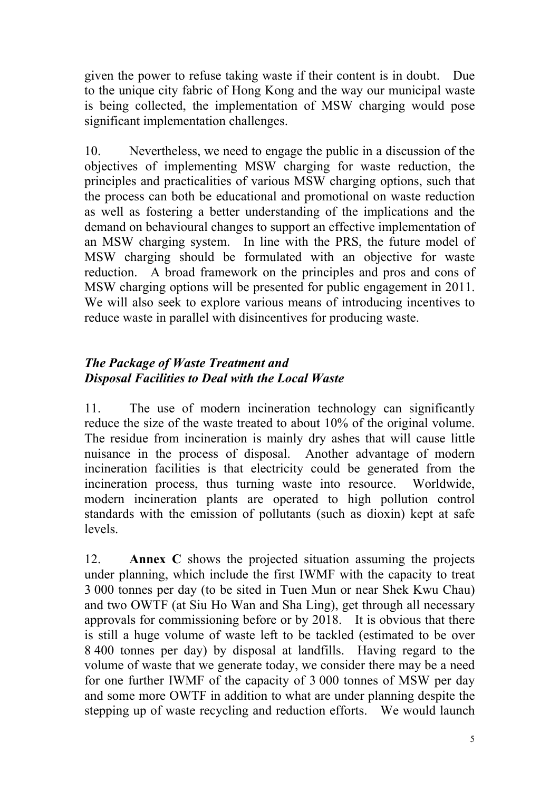given the power to refuse taking waste if their content is in doubt. Due to the unique city fabric of Hong Kong and the way our municipal waste is being collected, the implementation of MSW charging would pose significant implementation challenges.

10. Nevertheless, we need to engage the public in a discussion of the objectives of implementing MSW charging for waste reduction, the principles and practicalities of various MSW charging options, such that the process can both be educational and promotional on waste reduction as well as fostering a better understanding of the implications and the demand on behavioural changes to support an effective implementation of an MSW charging system. In line with the PRS, the future model of MSW charging should be formulated with an objective for waste reduction. A broad framework on the principles and pros and cons of MSW charging options will be presented for public engagement in 2011. We will also seek to explore various means of introducing incentives to reduce waste in parallel with disincentives for producing waste.

# *The Package of Waste Treatment and Disposal Facilities to Deal with the Local Waste*

11. The use of modern incineration technology can significantly reduce the size of the waste treated to about 10% of the original volume. The residue from incineration is mainly dry ashes that will cause little nuisance in the process of disposal. Another advantage of modern incineration facilities is that electricity could be generated from the incineration process, thus turning waste into resource. Worldwide, modern incineration plants are operated to high pollution control standards with the emission of pollutants (such as dioxin) kept at safe levels.

12. **Annex C** shows the projected situation assuming the projects under planning, which include the first IWMF with the capacity to treat 3 000 tonnes per day (to be sited in Tuen Mun or near Shek Kwu Chau) and two OWTF (at Siu Ho Wan and Sha Ling), get through all necessary approvals for commissioning before or by 2018. It is obvious that there is still a huge volume of waste left to be tackled (estimated to be over 8 400 tonnes per day) by disposal at landfills. Having regard to the volume of waste that we generate today, we consider there may be a need for one further IWMF of the capacity of 3 000 tonnes of MSW per day and some more OWTF in addition to what are under planning despite the stepping up of waste recycling and reduction efforts. We would launch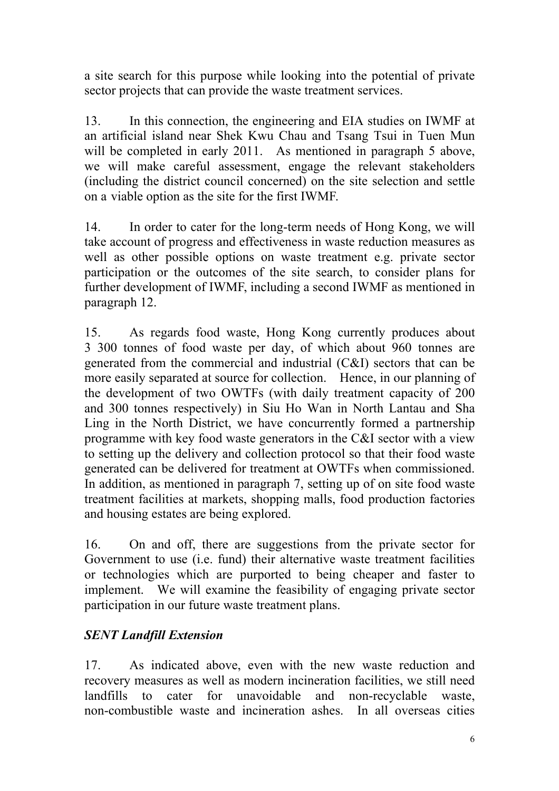a site search for this purpose while looking into the potential of private sector projects that can provide the waste treatment services.

13. In this connection, the engineering and EIA studies on IWMF at an artificial island near Shek Kwu Chau and Tsang Tsui in Tuen Mun will be completed in early 2011. As mentioned in paragraph 5 above, we will make careful assessment, engage the relevant stakeholders (including the district council concerned) on the site selection and settle on a viable option as the site for the first IWMF.

14. In order to cater for the long-term needs of Hong Kong, we will take account of progress and effectiveness in waste reduction measures as well as other possible options on waste treatment e.g. private sector participation or the outcomes of the site search, to consider plans for further development of IWMF, including a second IWMF as mentioned in paragraph 12.

15. As regards food waste, Hong Kong currently produces about 3 300 tonnes of food waste per day, of which about 960 tonnes are generated from the commercial and industrial (C&I) sectors that can be more easily separated at source for collection. Hence, in our planning of the development of two OWTFs (with daily treatment capacity of 200 and 300 tonnes respectively) in Siu Ho Wan in North Lantau and Sha Ling in the North District, we have concurrently formed a partnership programme with key food waste generators in the C&I sector with a view to setting up the delivery and collection protocol so that their food waste generated can be delivered for treatment at OWTFs when commissioned. In addition, as mentioned in paragraph 7, setting up of on site food waste treatment facilities at markets, shopping malls, food production factories and housing estates are being explored.

16. On and off, there are suggestions from the private sector for Government to use (i.e. fund) their alternative waste treatment facilities or technologies which are purported to being cheaper and faster to implement. We will examine the feasibility of engaging private sector participation in our future waste treatment plans.

# *SENT Landfill Extension*

17. As indicated above, even with the new waste reduction and recovery measures as well as modern incineration facilities, we still need landfills to cater for unavoidable and non-recyclable waste, non-combustible waste and incineration ashes. In all overseas cities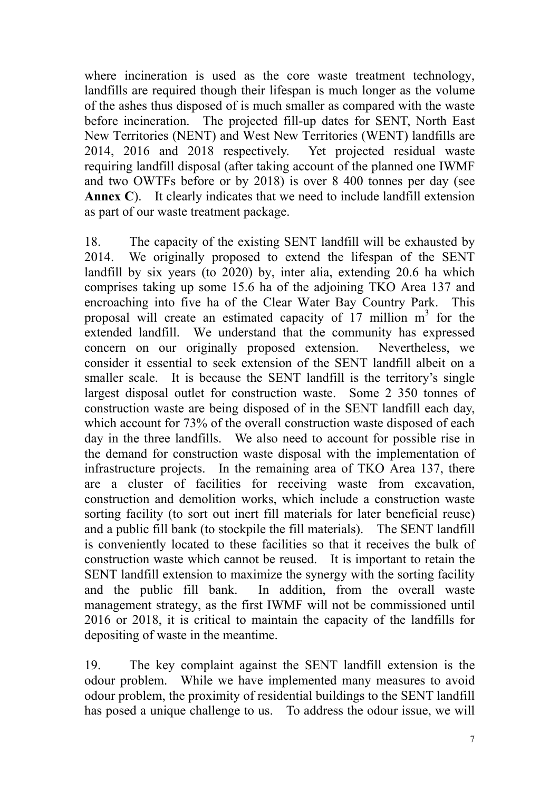where incineration is used as the core waste treatment technology, landfills are required though their lifespan is much longer as the volume of the ashes thus disposed of is much smaller as compared with the waste before incineration. The projected fill-up dates for SENT, North East New Territories (NENT) and West New Territories (WENT) landfills are 2014, 2016 and 2018 respectively. Yet projected residual waste requiring landfill disposal (after taking account of the planned one IWMF and two OWTFs before or by 2018) is over 8 400 tonnes per day (see **Annex C**). It clearly indicates that we need to include landfill extension as part of our waste treatment package.

18. The capacity of the existing SENT landfill will be exhausted by 2014. We originally proposed to extend the lifespan of the SENT landfill by six years (to 2020) by, inter alia, extending 20.6 ha which comprises taking up some 15.6 ha of the adjoining TKO Area 137 and encroaching into five ha of the Clear Water Bay Country Park. This proposal will create an estimated capacity of  $17$  million  $m<sup>3</sup>$  for the extended landfill. We understand that the community has expressed concern on our originally proposed extension. Nevertheless, we consider it essential to seek extension of the SENT landfill albeit on a smaller scale. It is because the SENT landfill is the territory's single largest disposal outlet for construction waste. Some 2 350 tonnes of construction waste are being disposed of in the SENT landfill each day, which account for 73% of the overall construction waste disposed of each day in the three landfills. We also need to account for possible rise in the demand for construction waste disposal with the implementation of infrastructure projects. In the remaining area of TKO Area 137, there are a cluster of facilities for receiving waste from excavation, construction and demolition works, which include a construction waste sorting facility (to sort out inert fill materials for later beneficial reuse) and a public fill bank (to stockpile the fill materials). The SENT landfill is conveniently located to these facilities so that it receives the bulk of construction waste which cannot be reused. It is important to retain the SENT landfill extension to maximize the synergy with the sorting facility and the public fill bank. In addition, from the overall waste management strategy, as the first IWMF will not be commissioned until 2016 or 2018, it is critical to maintain the capacity of the landfills for depositing of waste in the meantime.

19. The key complaint against the SENT landfill extension is the odour problem. While we have implemented many measures to avoid odour problem, the proximity of residential buildings to the SENT landfill has posed a unique challenge to us. To address the odour issue, we will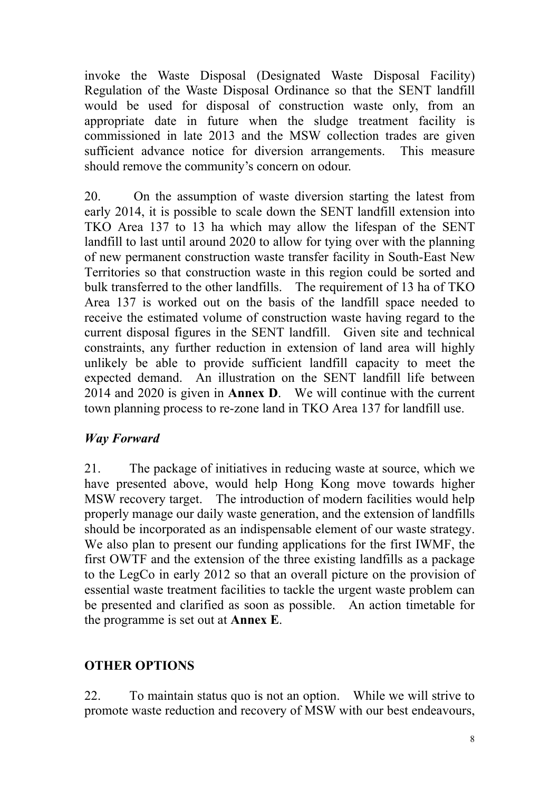invoke the Waste Disposal (Designated Waste Disposal Facility) Regulation of the Waste Disposal Ordinance so that the SENT landfill would be used for disposal of construction waste only, from an appropriate date in future when the sludge treatment facility is commissioned in late 2013 and the MSW collection trades are given sufficient advance notice for diversion arrangements. This measure should remove the community's concern on odour.

20. On the assumption of waste diversion starting the latest from early 2014, it is possible to scale down the SENT landfill extension into TKO Area 137 to 13 ha which may allow the lifespan of the SENT landfill to last until around 2020 to allow for tying over with the planning of new permanent construction waste transfer facility in South-East New Territories so that construction waste in this region could be sorted and bulk transferred to the other landfills. The requirement of 13 ha of TKO Area 137 is worked out on the basis of the landfill space needed to receive the estimated volume of construction waste having regard to the current disposal figures in the SENT landfill. Given site and technical constraints, any further reduction in extension of land area will highly unlikely be able to provide sufficient landfill capacity to meet the expected demand. An illustration on the SENT landfill life between 2014 and 2020 is given in **Annex D**. We will continue with the current town planning process to re-zone land in TKO Area 137 for landfill use.

# *Way Forward*

21. The package of initiatives in reducing waste at source, which we have presented above, would help Hong Kong move towards higher MSW recovery target. The introduction of modern facilities would help properly manage our daily waste generation, and the extension of landfills should be incorporated as an indispensable element of our waste strategy. We also plan to present our funding applications for the first IWMF, the first OWTF and the extension of the three existing landfills as a package to the LegCo in early 2012 so that an overall picture on the provision of essential waste treatment facilities to tackle the urgent waste problem can be presented and clarified as soon as possible. An action timetable for the programme is set out at **Annex E**.

# **OTHER OPTIONS**

22. To maintain status quo is not an option. While we will strive to promote waste reduction and recovery of MSW with our best endeavours,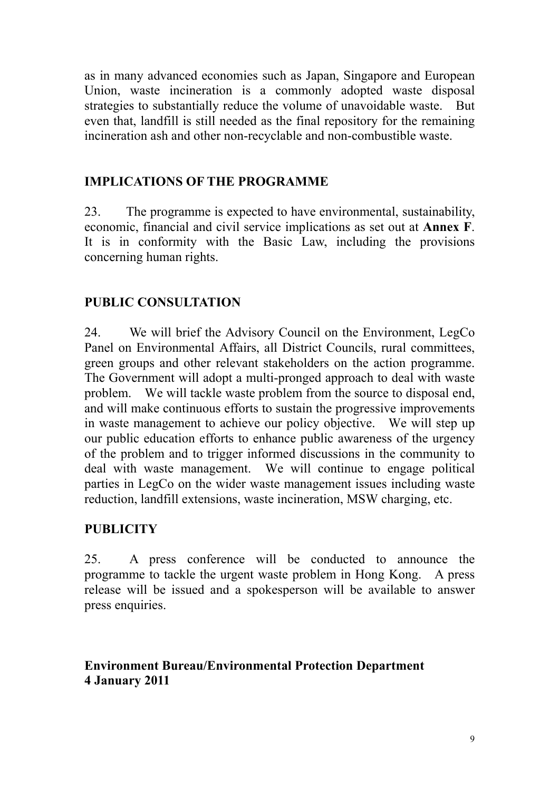as in many advanced economies such as Japan, Singapore and European Union, waste incineration is a commonly adopted waste disposal strategies to substantially reduce the volume of unavoidable waste. But even that, landfill is still needed as the final repository for the remaining incineration ash and other non-recyclable and non-combustible waste.

# **IMPLICATIONS OF THE PROGRAMME**

23. The programme is expected to have environmental, sustainability, economic, financial and civil service implications as set out at **Annex F**. It is in conformity with the Basic Law, including the provisions concerning human rights.

# **PUBLIC CONSULTATION**

24. We will brief the Advisory Council on the Environment, LegCo Panel on Environmental Affairs, all District Councils, rural committees, green groups and other relevant stakeholders on the action programme. The Government will adopt a multi-pronged approach to deal with waste problem. We will tackle waste problem from the source to disposal end, and will make continuous efforts to sustain the progressive improvements in waste management to achieve our policy objective. We will step up our public education efforts to enhance public awareness of the urgency of the problem and to trigger informed discussions in the community to deal with waste management. We will continue to engage political parties in LegCo on the wider waste management issues including waste reduction, landfill extensions, waste incineration, MSW charging, etc.

# **PUBLICITY**

25. A press conference will be conducted to announce the programme to tackle the urgent waste problem in Hong Kong. A press release will be issued and a spokesperson will be available to answer press enquiries.

# **Environment Bureau/Environmental Protection Department 4 January 2011**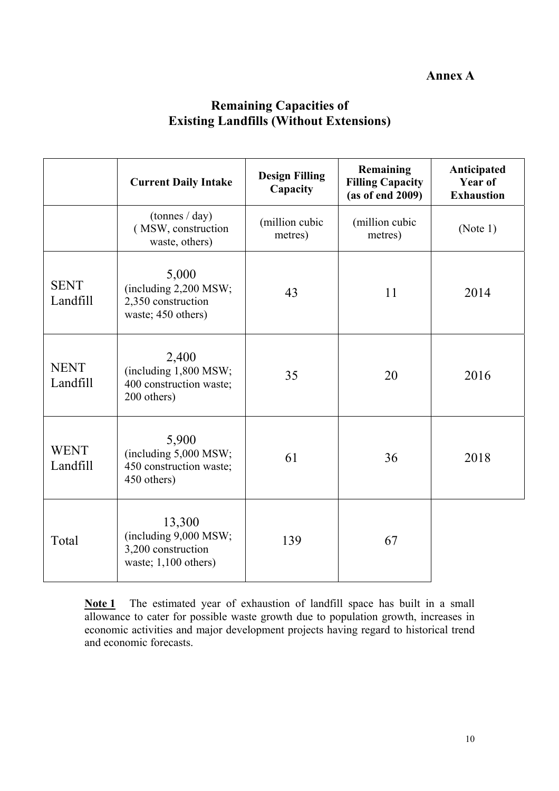### **Annex A**

# **Remaining Capacities of Existing Landfills (Without Extensions)**

|                         | <b>Current Daily Intake</b>                                                     | <b>Design Filling</b><br>Capacity | Remaining<br><b>Filling Capacity</b><br>(as of end 2009) | Anticipated<br>Year of<br><b>Exhaustion</b> |
|-------------------------|---------------------------------------------------------------------------------|-----------------------------------|----------------------------------------------------------|---------------------------------------------|
|                         | $(\text{tonnes} / \text{day})$<br>(MSW, construction<br>waste, others)          | (million cubic<br>metres)         | (million cubic<br>metres)                                | (Note 1)                                    |
| <b>SENT</b><br>Landfill | 5,000<br>(including 2,200 MSW;<br>2,350 construction<br>waste; 450 others)      | 43                                | 11                                                       | 2014                                        |
| <b>NENT</b><br>Landfill | 2,400<br>(including 1,800 MSW;<br>400 construction waste;<br>200 others)        | 35                                | 20                                                       | 2016                                        |
| <b>WENT</b><br>Landfill | 5,900<br>(including 5,000 MSW;<br>450 construction waste;<br>450 others)        | 61                                | 36                                                       | 2018                                        |
| Total                   | 13,300<br>(including 9,000 MSW;<br>3,200 construction<br>waste; $1,100$ others) | 139                               | 67                                                       |                                             |

**Note 1** The estimated year of exhaustion of landfill space has built in a small allowance to cater for possible waste growth due to population growth, increases in economic activities and major development projects having regard to historical trend and economic forecasts.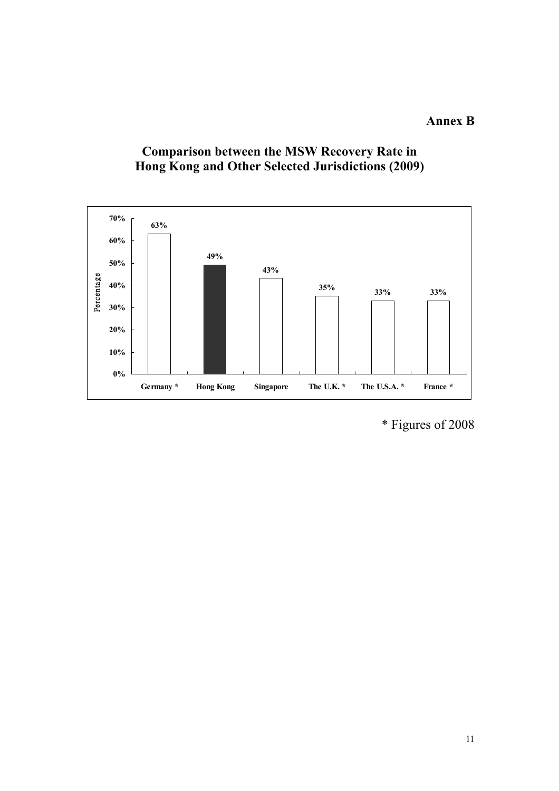## **Annex B**





\* Figures of 2008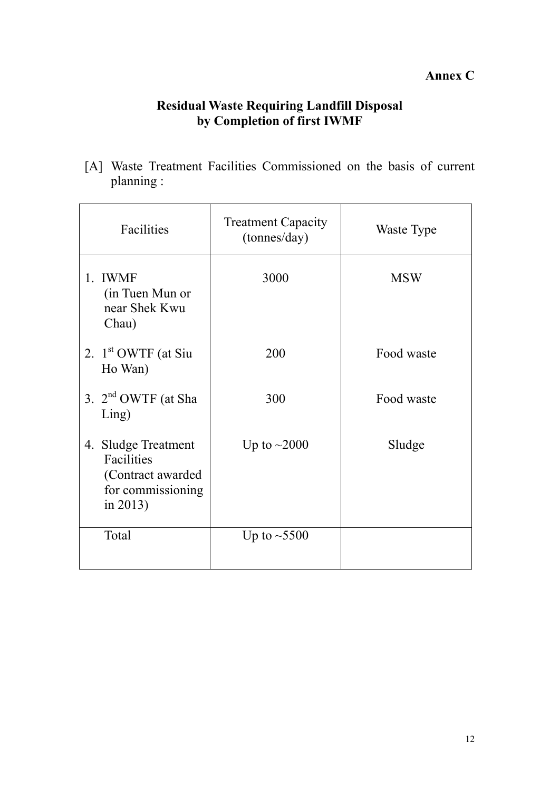# **Annex C**

# **Residual Waste Requiring Landfill Disposal by Completion of first IWMF**

[A] Waste Treatment Facilities Commissioned on the basis of current planning :

| Facilities                                                                              | <b>Treatment Capacity</b><br>(tonnes/day) | Waste Type |
|-----------------------------------------------------------------------------------------|-------------------------------------------|------------|
| 1. IWMF<br>(in Tuen Mun or<br>near Shek Kwu<br>Chau)                                    | 3000                                      | <b>MSW</b> |
| 2. $1st$ OWTF (at Siu<br>Ho Wan)                                                        | 200                                       | Food waste |
| 3. $2nd$ OWTF (at Sha<br>Ling)                                                          | 300                                       | Food waste |
| 4. Sludge Treatment<br>Facilities<br>(Contract awarded<br>for commissioning<br>in 2013) | Up to $\sim$ 2000                         | Sludge     |
| Total                                                                                   | Up to $\sim$ 5500                         |            |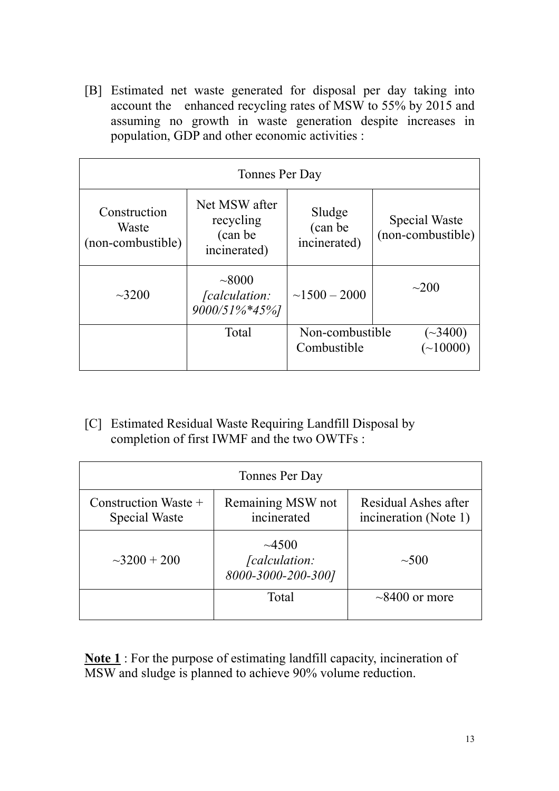[B] Estimated net waste generated for disposal per day taking into account the enhanced recycling rates of MSW to 55% by 2015 and assuming no growth in waste generation despite increases in population, GDP and other economic activities :

| Tonnes Per Day                             |                                                        |                                   |                                    |  |
|--------------------------------------------|--------------------------------------------------------|-----------------------------------|------------------------------------|--|
| Construction<br>Waste<br>(non-combustible) | Net MSW after<br>recycling<br>(can be)<br>incinerated) | Sludge<br>(can be<br>incinerated) | Special Waste<br>(non-combustible) |  |
| $\sim 3200$                                | ~1000<br><i>calculation:</i><br>9000/51%*45%]          | $\sim$ 1500 - 2000                | $\sim$ 200                         |  |
|                                            | Total                                                  | Non-combustible<br>Combustible    | $(\sim 3400)$<br>$(-10000)$        |  |

[C] Estimated Residual Waste Requiring Landfill Disposal by completion of first IWMF and the two OWTFs :

| Tonnes Per Day                                                                 |                                  |                                               |  |
|--------------------------------------------------------------------------------|----------------------------------|-----------------------------------------------|--|
| Construction Waste $+$<br>Special Waste                                        | Remaining MSW not<br>incinerated | Residual Ashes after<br>incineration (Note 1) |  |
| $\sim 4500$<br>$\sim$ 3200 + 200<br><i>[calculation:</i><br>8000-3000-200-300] |                                  | $\sim 500$                                    |  |
|                                                                                | Total                            | $\sim$ 8400 or more                           |  |

**Note 1** : For the purpose of estimating landfill capacity, incineration of MSW and sludge is planned to achieve 90% volume reduction.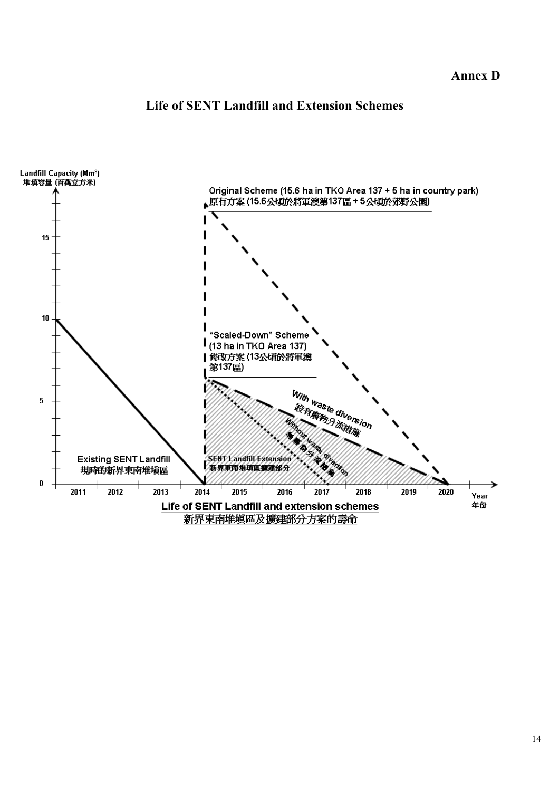# **Life of SENT Landfill and Extension Schemes**

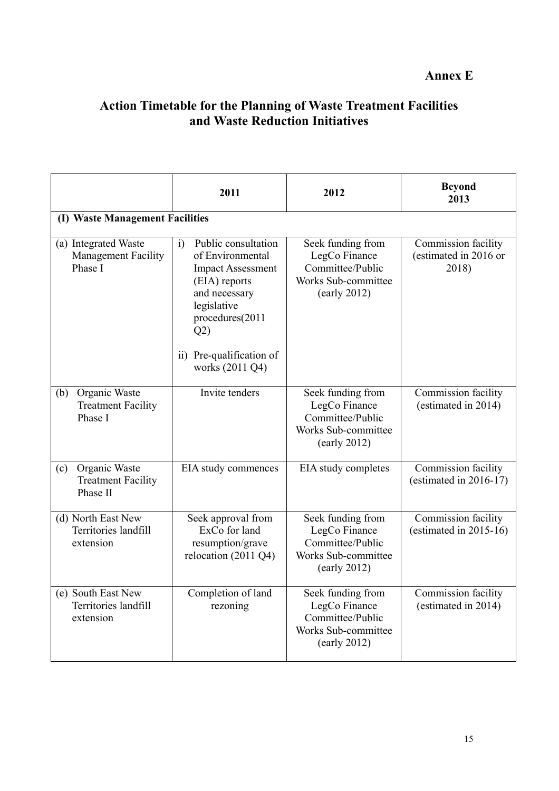### **Annex E**

## **Action Timetable for the Planning of Waste Treatment Facilities and Waste Reduction Initiatives**

|                                                               | 2011                                                                                                                                                                                                | 2012                                                                                                           | <b>Beyond</b><br>2013                                 |  |  |
|---------------------------------------------------------------|-----------------------------------------------------------------------------------------------------------------------------------------------------------------------------------------------------|----------------------------------------------------------------------------------------------------------------|-------------------------------------------------------|--|--|
| (I) Waste Management Facilities                               |                                                                                                                                                                                                     |                                                                                                                |                                                       |  |  |
| (a) Integrated Waste<br><b>Management Facility</b><br>Phase I | Public consultation<br>i)<br>of Environmental<br><b>Impact Assessment</b><br>(EIA) reports<br>and necessary<br>legislative<br>procedures(2011<br>Q2)<br>ii) Pre-qualification of<br>works (2011 Q4) | Seek funding from<br>LegCo Finance<br>Committee/Public<br>Works Sub-committee<br>(early 2012)                  | Commission facility<br>(estimated in 2016 or<br>2018) |  |  |
| Organic Waste<br>(b)<br><b>Treatment Facility</b><br>Phase I  | Invite tenders                                                                                                                                                                                      | Seek funding from<br>LegCo Finance<br>Committee/Public<br>Works Sub-committee<br>$\text{(early } 2012\text{)}$ | Commission facility<br>(estimated in 2014)            |  |  |
| Organic Waste<br>(c)<br><b>Treatment Facility</b><br>Phase II | EIA study commences                                                                                                                                                                                 | EIA study completes                                                                                            | Commission facility<br>(estimated in $2016-17$ )      |  |  |
| (d) North East New<br>Territories landfill<br>extension       | Seek approval from<br>ExCo for land<br>resumption/grave<br>relocation (2011 Q4)                                                                                                                     | Seek funding from<br>LegCo Finance<br>Committee/Public<br>Works Sub-committee<br>(early 2012)                  | Commission facility<br>(estimated in $2015-16$ )      |  |  |
| (e) South East New<br>Territories landfill<br>extension       | Completion of land<br>rezoning                                                                                                                                                                      | Seek funding from<br>LegCo Finance<br>Committee/Public<br>Works Sub-committee<br>$\text{(early 2012)}$         | Commission facility<br>(estimated in 2014)            |  |  |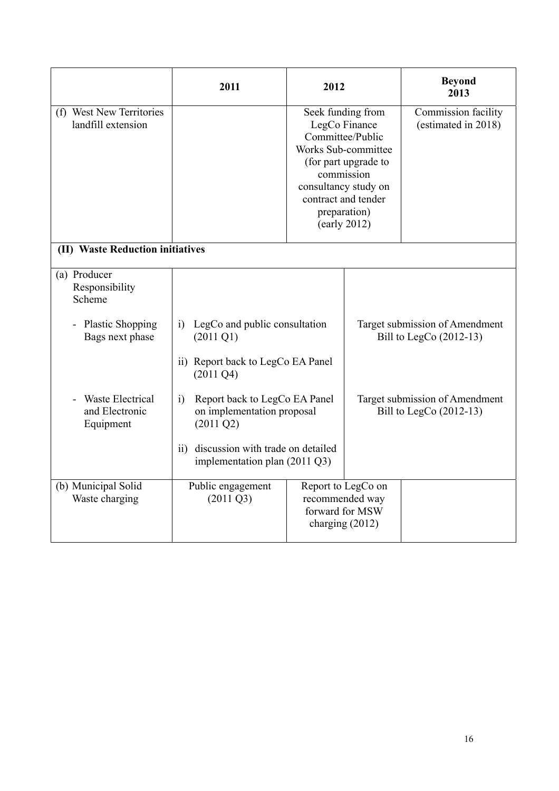|                                                        | 2011                                                                                             | 2012 |                                                                                                                                                                                                    | <b>Beyond</b><br>2013                                       |
|--------------------------------------------------------|--------------------------------------------------------------------------------------------------|------|----------------------------------------------------------------------------------------------------------------------------------------------------------------------------------------------------|-------------------------------------------------------------|
| (f) West New Territories<br>landfill extension         |                                                                                                  |      | Seek funding from<br>LegCo Finance<br>Committee/Public<br>Works Sub-committee<br>(for part upgrade to<br>commission<br>consultancy study on<br>contract and tender<br>preparation)<br>(early 2012) | Commission facility<br>(estimated in 2018)                  |
| (II) Waste Reduction initiatives                       |                                                                                                  |      |                                                                                                                                                                                                    |                                                             |
| (a) Producer<br>Responsibility<br>Scheme               |                                                                                                  |      |                                                                                                                                                                                                    |                                                             |
| <b>Plastic Shopping</b><br>Bags next phase             | LegCo and public consultation<br>$\ddot{1}$<br>$(2011 \text{ } Q1)$                              |      |                                                                                                                                                                                                    | Target submission of Amendment<br>Bill to LegCo $(2012-13)$ |
|                                                        | ii) Report back to LegCo EA Panel<br>$(2011 \text{ Q}4)$                                         |      |                                                                                                                                                                                                    |                                                             |
| <b>Waste Electrical</b><br>and Electronic<br>Equipment | Report back to LegCo EA Panel<br>$\ddot{1}$<br>on implementation proposal<br>$(2011 \text{ Q}2)$ |      |                                                                                                                                                                                                    | Target submission of Amendment<br>Bill to LegCo (2012-13)   |
|                                                        | ii) discussion with trade on detailed<br>implementation plan $(2011 \text{ Q}3)$                 |      |                                                                                                                                                                                                    |                                                             |
| (b) Municipal Solid<br>Waste charging                  | Public engagement<br>$(2011 \text{ Q}3)$                                                         |      | Report to LegCo on<br>recommended way<br>forward for MSW<br>charging $(2012)$                                                                                                                      |                                                             |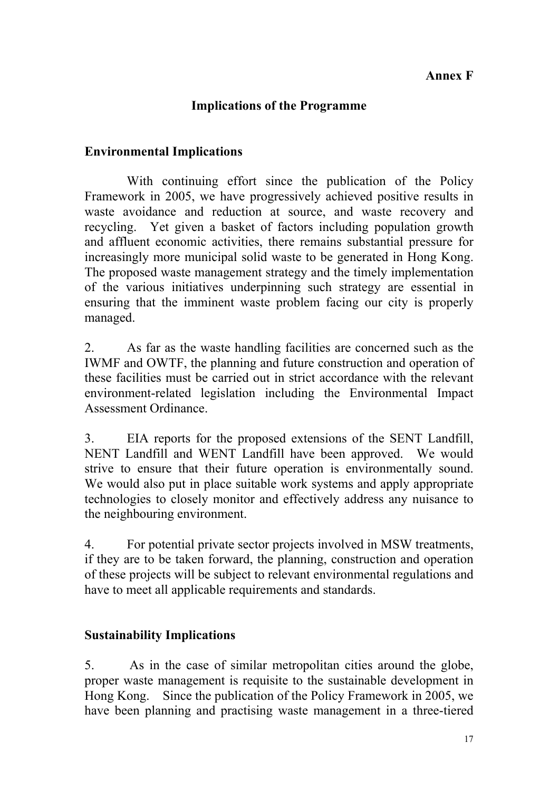## **Annex F**

## **Implications of the Programme**

### **Environmental Implications**

 With continuing effort since the publication of the Policy Framework in 2005, we have progressively achieved positive results in waste avoidance and reduction at source, and waste recovery and recycling. Yet given a basket of factors including population growth and affluent economic activities, there remains substantial pressure for increasingly more municipal solid waste to be generated in Hong Kong. The proposed waste management strategy and the timely implementation of the various initiatives underpinning such strategy are essential in ensuring that the imminent waste problem facing our city is properly managed.

2. As far as the waste handling facilities are concerned such as the IWMF and OWTF, the planning and future construction and operation of these facilities must be carried out in strict accordance with the relevant environment-related legislation including the Environmental Impact Assessment Ordinance.

3. EIA reports for the proposed extensions of the SENT Landfill, NENT Landfill and WENT Landfill have been approved. We would strive to ensure that their future operation is environmentally sound. We would also put in place suitable work systems and apply appropriate technologies to closely monitor and effectively address any nuisance to the neighbouring environment.

4. For potential private sector projects involved in MSW treatments, if they are to be taken forward, the planning, construction and operation of these projects will be subject to relevant environmental regulations and have to meet all applicable requirements and standards.

### **Sustainability Implications**

5. As in the case of similar metropolitan cities around the globe, proper waste management is requisite to the sustainable development in Hong Kong. Since the publication of the Policy Framework in 2005, we have been planning and practising waste management in a three-tiered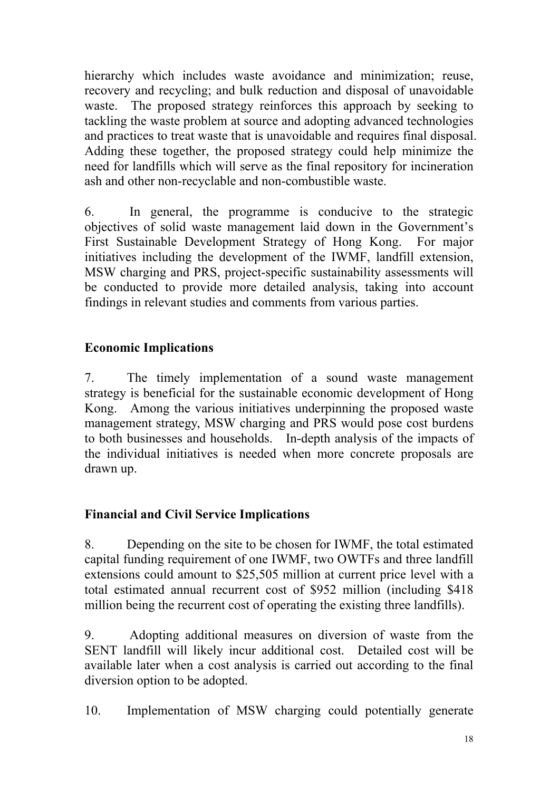hierarchy which includes waste avoidance and minimization; reuse, recovery and recycling; and bulk reduction and disposal of unavoidable waste. The proposed strategy reinforces this approach by seeking to tackling the waste problem at source and adopting advanced technologies and practices to treat waste that is unavoidable and requires final disposal. Adding these together, the proposed strategy could help minimize the need for landfills which will serve as the final repository for incineration ash and other non-recyclable and non-combustible waste.

6. In general, the programme is conducive to the strategic objectives of solid waste management laid down in the Government's First Sustainable Development Strategy of Hong Kong. For major initiatives including the development of the IWMF, landfill extension, MSW charging and PRS, project-specific sustainability assessments will be conducted to provide more detailed analysis, taking into account findings in relevant studies and comments from various parties.

## **Economic Implications**

7. The timely implementation of a sound waste management strategy is beneficial for the sustainable economic development of Hong Kong. Among the various initiatives underpinning the proposed waste management strategy, MSW charging and PRS would pose cost burdens to both businesses and households. In-depth analysis of the impacts of the individual initiatives is needed when more concrete proposals are drawn up.

# **Financial and Civil Service Implications**

8. Depending on the site to be chosen for IWMF, the total estimated capital funding requirement of one IWMF, two OWTFs and three landfill extensions could amount to \$25,505 million at current price level with a total estimated annual recurrent cost of \$952 million (including \$418 million being the recurrent cost of operating the existing three landfills).

9. Adopting additional measures on diversion of waste from the SENT landfill will likely incur additional cost. Detailed cost will be available later when a cost analysis is carried out according to the final diversion option to be adopted.

10. Implementation of MSW charging could potentially generate